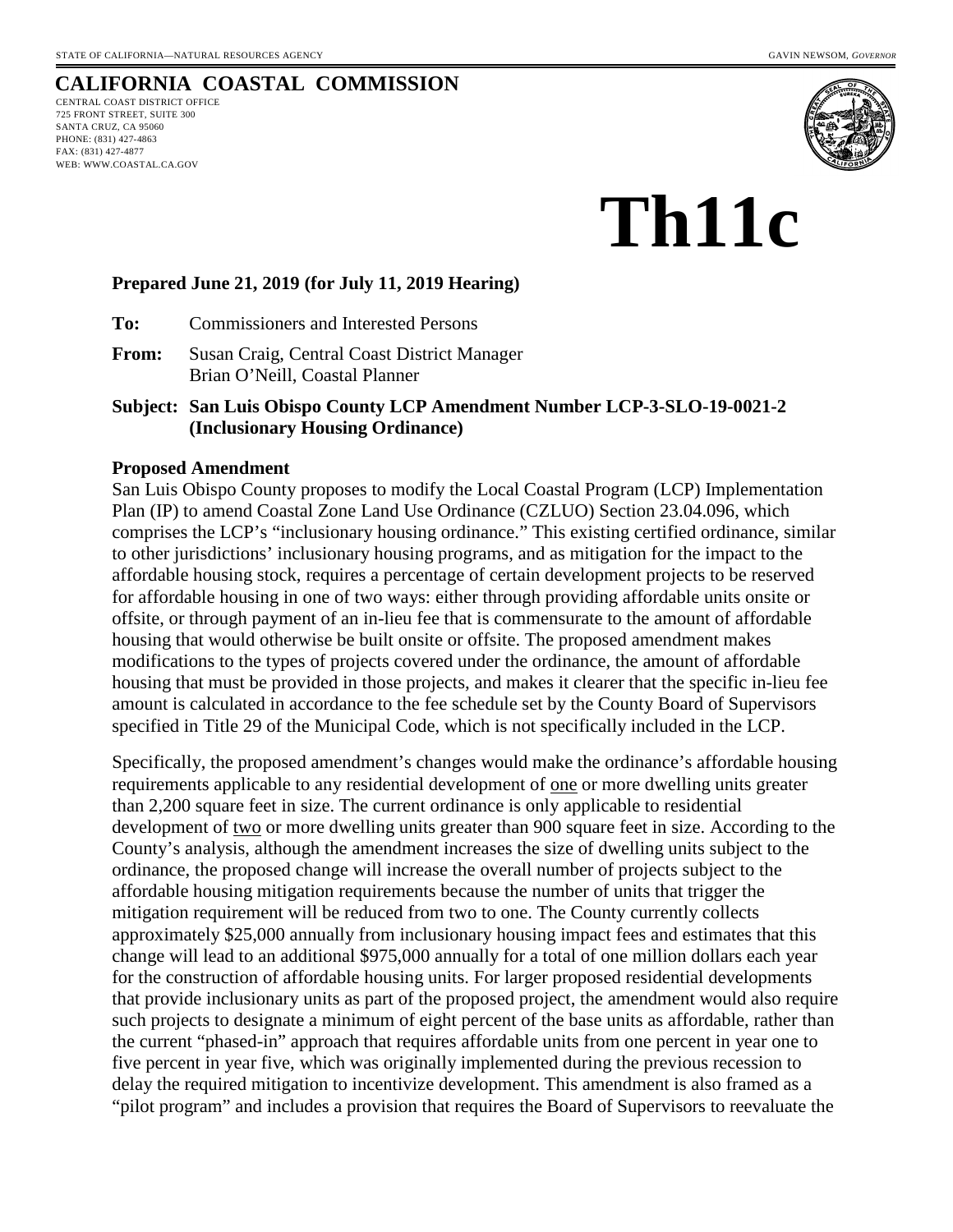## **CALIFORNIA COASTAL COMMISSION**

CENTRAL COAST DISTRICT OFFICE 725 FRONT STREET, SUITE 300 SANTA CRUZ, CA 95060 PHONE: (831) 427-4863 FAX: (831) 427-4877 WEB: WWW.COASTAL.CA.GOV



# **Th11c**

#### **Prepared June 21, 2019 (for July 11, 2019 Hearing)**

**To:** Commissioners and Interested Persons

**From:** Susan Craig, Central Coast District Manager Brian O'Neill, Coastal Planner

**Subject: San Luis Obispo County LCP Amendment Number LCP-3-SLO-19-0021-2 (Inclusionary Housing Ordinance)** 

#### **Proposed Amendment**

San Luis Obispo County proposes to modify the Local Coastal Program (LCP) Implementation Plan (IP) to amend Coastal Zone Land Use Ordinance (CZLUO) Section 23.04.096, which comprises the LCP's "inclusionary housing ordinance." This existing certified ordinance, similar to other jurisdictions' inclusionary housing programs, and as mitigation for the impact to the affordable housing stock, requires a percentage of certain development projects to be reserved for affordable housing in one of two ways: either through providing affordable units onsite or offsite, or through payment of an in-lieu fee that is commensurate to the amount of affordable housing that would otherwise be built onsite or offsite. The proposed amendment makes modifications to the types of projects covered under the ordinance, the amount of affordable housing that must be provided in those projects, and makes it clearer that the specific in-lieu fee amount is calculated in accordance to the fee schedule set by the County Board of Supervisors specified in Title 29 of the Municipal Code, which is not specifically included in the LCP.

Specifically, the proposed amendment's changes would make the ordinance's affordable housing requirements applicable to any residential development of one or more dwelling units greater than 2,200 square feet in size. The current ordinance is only applicable to residential development of <u>two</u> or more dwelling units greater than 900 square feet in size. According to the County's analysis, although the amendment increases the size of dwelling units subject to the ordinance, the proposed change will increase the overall number of projects subject to the affordable housing mitigation requirements because the number of units that trigger the mitigation requirement will be reduced from two to one. The County currently collects approximately \$25,000 annually from inclusionary housing impact fees and estimates that this change will lead to an additional \$975,000 annually for a total of one million dollars each year for the construction of affordable housing units. For larger proposed residential developments that provide inclusionary units as part of the proposed project, the amendment would also require such projects to designate a minimum of eight percent of the base units as affordable, rather than the current "phased-in" approach that requires affordable units from one percent in year one to five percent in year five, which was originally implemented during the previous recession to delay the required mitigation to incentivize development. This amendment is also framed as a "pilot program" and includes a provision that requires the Board of Supervisors to reevaluate the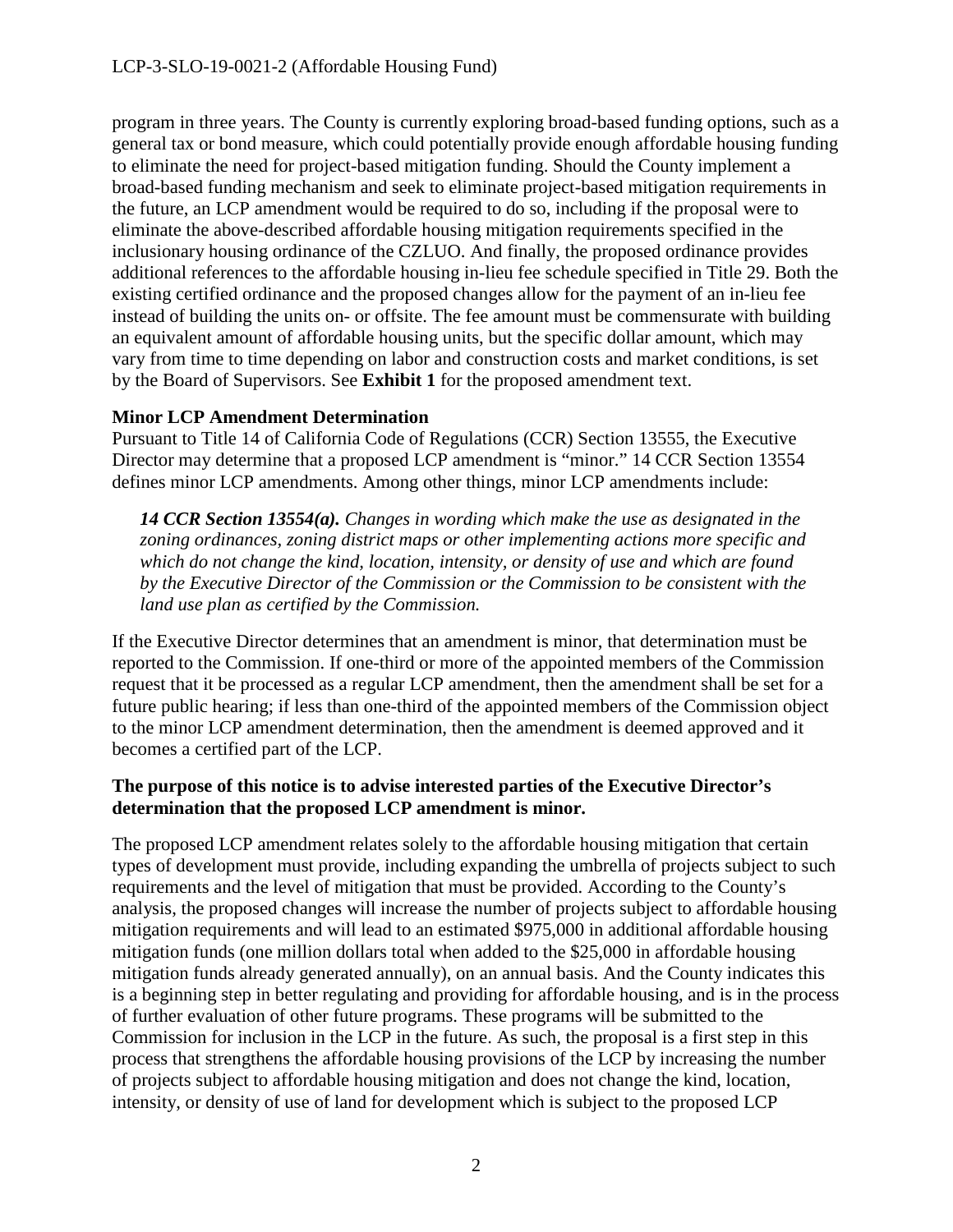program in three years. The County is currently exploring broad-based funding options, such as a general tax or bond measure, which could potentially provide enough affordable housing funding to eliminate the need for project-based mitigation funding. Should the County implement a broad-based funding mechanism and seek to eliminate project-based mitigation requirements in the future, an LCP amendment would be required to do so, including if the proposal were to eliminate the above-described affordable housing mitigation requirements specified in the inclusionary housing ordinance of the CZLUO. And finally, the proposed ordinance provides additional references to the affordable housing in-lieu fee schedule specified in Title 29. Both the existing certified ordinance and the proposed changes allow for the payment of an in-lieu fee instead of building the units on- or offsite. The fee amount must be commensurate with building an equivalent amount of affordable housing units, but the specific dollar amount, which may vary from time to time depending on labor and construction costs and market conditions, is set by the Board of Supervisors. See **Exhibit 1** for the proposed amendment text.

## **Minor LCP Amendment Determination**

Pursuant to Title 14 of California Code of Regulations (CCR) Section 13555, the Executive Director may determine that a proposed LCP amendment is "minor." 14 CCR Section 13554 defines minor LCP amendments. Among other things, minor LCP amendments include:

*14 CCR Section 13554(a). Changes in wording which make the use as designated in the zoning ordinances, zoning district maps or other implementing actions more specific and which do not change the kind, location, intensity, or density of use and which are found by the Executive Director of the Commission or the Commission to be consistent with the land use plan as certified by the Commission.* 

If the Executive Director determines that an amendment is minor, that determination must be reported to the Commission. If one-third or more of the appointed members of the Commission request that it be processed as a regular LCP amendment, then the amendment shall be set for a future public hearing; if less than one-third of the appointed members of the Commission object to the minor LCP amendment determination, then the amendment is deemed approved and it becomes a certified part of the LCP.

## **The purpose of this notice is to advise interested parties of the Executive Director's determination that the proposed LCP amendment is minor.**

The proposed LCP amendment relates solely to the affordable housing mitigation that certain types of development must provide, including expanding the umbrella of projects subject to such requirements and the level of mitigation that must be provided. According to the County's analysis, the proposed changes will increase the number of projects subject to affordable housing mitigation requirements and will lead to an estimated \$975,000 in additional affordable housing mitigation funds (one million dollars total when added to the \$25,000 in affordable housing mitigation funds already generated annually), on an annual basis. And the County indicates this is a beginning step in better regulating and providing for affordable housing, and is in the process of further evaluation of other future programs. These programs will be submitted to the Commission for inclusion in the LCP in the future. As such, the proposal is a first step in this process that strengthens the affordable housing provisions of the LCP by increasing the number of projects subject to affordable housing mitigation and does not change the kind, location, intensity, or density of use of land for development which is subject to the proposed LCP